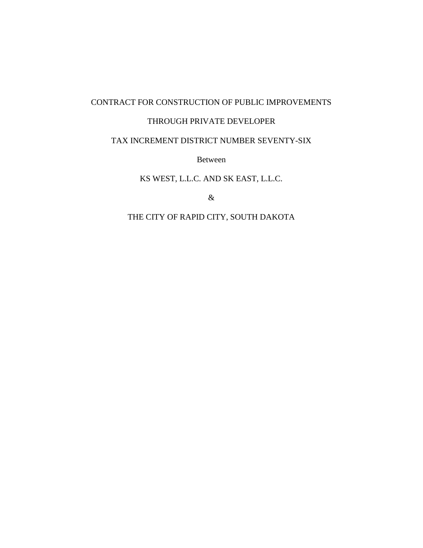## CONTRACT FOR CONSTRUCTION OF PUBLIC IMPROVEMENTS

### THROUGH PRIVATE DEVELOPER

## TAX INCREMENT DISTRICT NUMBER SEVENTY-SIX

Between

KS WEST, L.L.C. AND SK EAST, L.L.C.

&

THE CITY OF RAPID CITY, SOUTH DAKOTA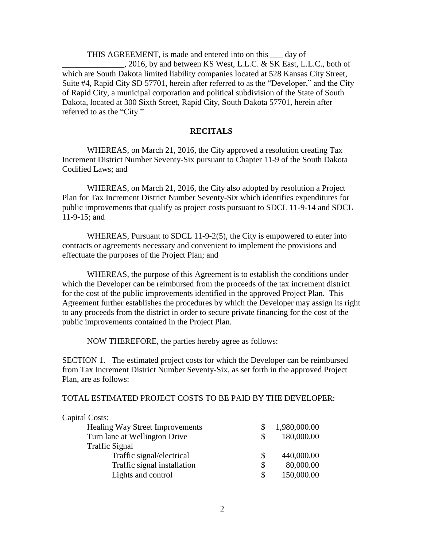THIS AGREEMENT, is made and entered into on this \_\_\_ day of \_\_\_\_\_\_\_\_\_\_\_\_\_\_\_, 2016, by and between KS West, L.L.C. & SK East, L.L.C., both of which are South Dakota limited liability companies located at 528 Kansas City Street, Suite #4, Rapid City SD 57701, herein after referred to as the "Developer," and the City of Rapid City, a municipal corporation and political subdivision of the State of South Dakota, located at 300 Sixth Street, Rapid City, South Dakota 57701, herein after referred to as the "City."

### **RECITALS**

WHEREAS, on March 21, 2016, the City approved a resolution creating Tax Increment District Number Seventy-Six pursuant to Chapter 11-9 of the South Dakota Codified Laws; and

WHEREAS, on March 21, 2016, the City also adopted by resolution a Project Plan for Tax Increment District Number Seventy-Six which identifies expenditures for public improvements that qualify as project costs pursuant to SDCL 11-9-14 and SDCL 11-9-15; and

WHEREAS, Pursuant to SDCL 11-9-2(5), the City is empowered to enter into contracts or agreements necessary and convenient to implement the provisions and effectuate the purposes of the Project Plan; and

WHEREAS, the purpose of this Agreement is to establish the conditions under which the Developer can be reimbursed from the proceeds of the tax increment district for the cost of the public improvements identified in the approved Project Plan. This Agreement further establishes the procedures by which the Developer may assign its right to any proceeds from the district in order to secure private financing for the cost of the public improvements contained in the Project Plan.

NOW THEREFORE, the parties hereby agree as follows:

SECTION 1. The estimated project costs for which the Developer can be reimbursed from Tax Increment District Number Seventy-Six, as set forth in the approved Project Plan, are as follows:

TOTAL ESTIMATED PROJECT COSTS TO BE PAID BY THE DEVELOPER:

| Capital Costs:                         |    |              |
|----------------------------------------|----|--------------|
| <b>Healing Way Street Improvements</b> |    | 1,980,000.00 |
| Turn lane at Wellington Drive          | \$ | 180,000.00   |
| <b>Traffic Signal</b>                  |    |              |
| Traffic signal/electrical              | S  | 440,000.00   |
| Traffic signal installation            | \$ | 80,000.00    |
| Lights and control                     | \$ | 150,000.00   |
|                                        |    |              |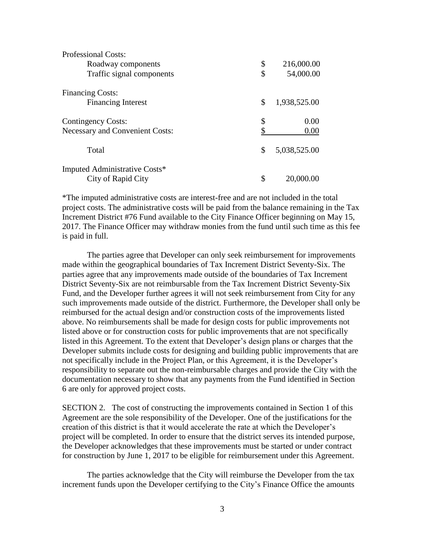| <b>Professional Costs:</b>             |                    |
|----------------------------------------|--------------------|
| Roadway components                     | \$<br>216,000.00   |
| Traffic signal components              | \$<br>54,000.00    |
| <b>Financing Costs:</b>                |                    |
| <b>Financing Interest</b>              | \$<br>1,938,525.00 |
| <b>Contingency Costs:</b>              | \$<br>0.00         |
| <b>Necessary and Convenient Costs:</b> | \$<br>0.00         |
| Total                                  | \$<br>5,038,525.00 |
| Imputed Administrative Costs*          |                    |
| City of Rapid City                     | \$<br>20,000.00    |

\*The imputed administrative costs are interest-free and are not included in the total project costs. The administrative costs will be paid from the balance remaining in the Tax Increment District #76 Fund available to the City Finance Officer beginning on May 15, 2017. The Finance Officer may withdraw monies from the fund until such time as this fee is paid in full.

The parties agree that Developer can only seek reimbursement for improvements made within the geographical boundaries of Tax Increment District Seventy-Six. The parties agree that any improvements made outside of the boundaries of Tax Increment District Seventy-Six are not reimbursable from the Tax Increment District Seventy-Six Fund, and the Developer further agrees it will not seek reimbursement from City for any such improvements made outside of the district. Furthermore, the Developer shall only be reimbursed for the actual design and/or construction costs of the improvements listed above. No reimbursements shall be made for design costs for public improvements not listed above or for construction costs for public improvements that are not specifically listed in this Agreement. To the extent that Developer's design plans or charges that the Developer submits include costs for designing and building public improvements that are not specifically include in the Project Plan, or this Agreement, it is the Developer's responsibility to separate out the non-reimbursable charges and provide the City with the documentation necessary to show that any payments from the Fund identified in Section 6 are only for approved project costs.

SECTION 2. The cost of constructing the improvements contained in Section 1 of this Agreement are the sole responsibility of the Developer. One of the justifications for the creation of this district is that it would accelerate the rate at which the Developer's project will be completed. In order to ensure that the district serves its intended purpose, the Developer acknowledges that these improvements must be started or under contract for construction by June 1, 2017 to be eligible for reimbursement under this Agreement.

The parties acknowledge that the City will reimburse the Developer from the tax increment funds upon the Developer certifying to the City's Finance Office the amounts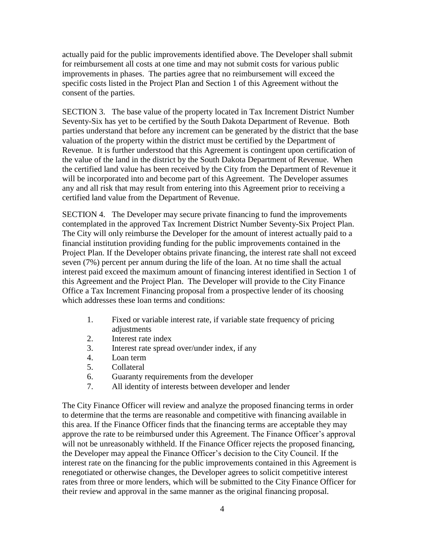actually paid for the public improvements identified above. The Developer shall submit for reimbursement all costs at one time and may not submit costs for various public improvements in phases. The parties agree that no reimbursement will exceed the specific costs listed in the Project Plan and Section 1 of this Agreement without the consent of the parties.

SECTION 3. The base value of the property located in Tax Increment District Number Seventy-Six has yet to be certified by the South Dakota Department of Revenue. Both parties understand that before any increment can be generated by the district that the base valuation of the property within the district must be certified by the Department of Revenue. It is further understood that this Agreement is contingent upon certification of the value of the land in the district by the South Dakota Department of Revenue. When the certified land value has been received by the City from the Department of Revenue it will be incorporated into and become part of this Agreement. The Developer assumes any and all risk that may result from entering into this Agreement prior to receiving a certified land value from the Department of Revenue.

SECTION 4. The Developer may secure private financing to fund the improvements contemplated in the approved Tax Increment District Number Seventy-Six Project Plan. The City will only reimburse the Developer for the amount of interest actually paid to a financial institution providing funding for the public improvements contained in the Project Plan. If the Developer obtains private financing, the interest rate shall not exceed seven (7%) percent per annum during the life of the loan. At no time shall the actual interest paid exceed the maximum amount of financing interest identified in Section 1 of this Agreement and the Project Plan. The Developer will provide to the City Finance Office a Tax Increment Financing proposal from a prospective lender of its choosing which addresses these loan terms and conditions:

- 1. Fixed or variable interest rate, if variable state frequency of pricing adjustments
- 2. Interest rate index
- 3. Interest rate spread over/under index, if any
- 4. Loan term
- 5. Collateral
- 6. Guaranty requirements from the developer
- 7. All identity of interests between developer and lender

The City Finance Officer will review and analyze the proposed financing terms in order to determine that the terms are reasonable and competitive with financing available in this area. If the Finance Officer finds that the financing terms are acceptable they may approve the rate to be reimbursed under this Agreement. The Finance Officer's approval will not be unreasonably withheld. If the Finance Officer rejects the proposed financing, the Developer may appeal the Finance Officer's decision to the City Council. If the interest rate on the financing for the public improvements contained in this Agreement is renegotiated or otherwise changes, the Developer agrees to solicit competitive interest rates from three or more lenders, which will be submitted to the City Finance Officer for their review and approval in the same manner as the original financing proposal.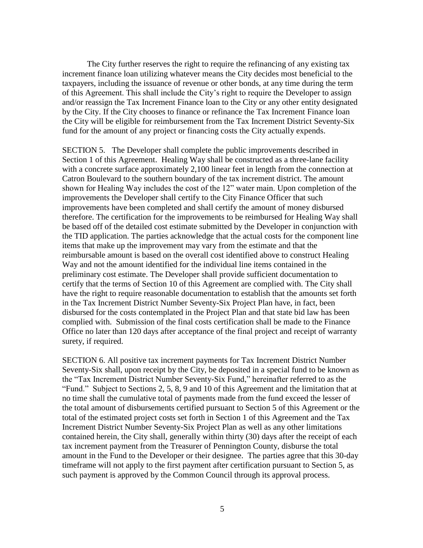The City further reserves the right to require the refinancing of any existing tax increment finance loan utilizing whatever means the City decides most beneficial to the taxpayers, including the issuance of revenue or other bonds, at any time during the term of this Agreement. This shall include the City's right to require the Developer to assign and/or reassign the Tax Increment Finance loan to the City or any other entity designated by the City. If the City chooses to finance or refinance the Tax Increment Finance loan the City will be eligible for reimbursement from the Tax Increment District Seventy-Six fund for the amount of any project or financing costs the City actually expends.

SECTION 5. The Developer shall complete the public improvements described in Section 1 of this Agreement. Healing Way shall be constructed as a three-lane facility with a concrete surface approximately 2,100 linear feet in length from the connection at Catron Boulevard to the southern boundary of the tax increment district. The amount shown for Healing Way includes the cost of the 12" water main. Upon completion of the improvements the Developer shall certify to the City Finance Officer that such improvements have been completed and shall certify the amount of money disbursed therefore. The certification for the improvements to be reimbursed for Healing Way shall be based off of the detailed cost estimate submitted by the Developer in conjunction with the TID application. The parties acknowledge that the actual costs for the component line items that make up the improvement may vary from the estimate and that the reimbursable amount is based on the overall cost identified above to construct Healing Way and not the amount identified for the individual line items contained in the preliminary cost estimate. The Developer shall provide sufficient documentation to certify that the terms of Section 10 of this Agreement are complied with. The City shall have the right to require reasonable documentation to establish that the amounts set forth in the Tax Increment District Number Seventy-Six Project Plan have, in fact, been disbursed for the costs contemplated in the Project Plan and that state bid law has been complied with. Submission of the final costs certification shall be made to the Finance Office no later than 120 days after acceptance of the final project and receipt of warranty surety, if required.

SECTION 6. All positive tax increment payments for Tax Increment District Number Seventy-Six shall, upon receipt by the City, be deposited in a special fund to be known as the "Tax Increment District Number Seventy-Six Fund," hereinafter referred to as the "Fund." Subject to Sections 2, 5, 8, 9 and 10 of this Agreement and the limitation that at no time shall the cumulative total of payments made from the fund exceed the lesser of the total amount of disbursements certified pursuant to Section 5 of this Agreement or the total of the estimated project costs set forth in Section 1 of this Agreement and the Tax Increment District Number Seventy-Six Project Plan as well as any other limitations contained herein, the City shall, generally within thirty (30) days after the receipt of each tax increment payment from the Treasurer of Pennington County, disburse the total amount in the Fund to the Developer or their designee. The parties agree that this 30-day timeframe will not apply to the first payment after certification pursuant to Section 5, as such payment is approved by the Common Council through its approval process.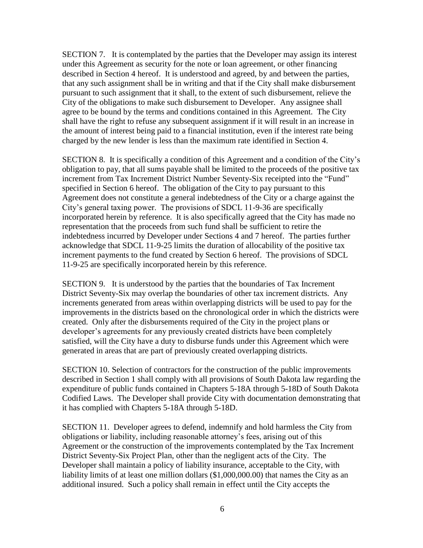SECTION 7. It is contemplated by the parties that the Developer may assign its interest under this Agreement as security for the note or loan agreement, or other financing described in Section 4 hereof. It is understood and agreed, by and between the parties, that any such assignment shall be in writing and that if the City shall make disbursement pursuant to such assignment that it shall, to the extent of such disbursement, relieve the City of the obligations to make such disbursement to Developer. Any assignee shall agree to be bound by the terms and conditions contained in this Agreement. The City shall have the right to refuse any subsequent assignment if it will result in an increase in the amount of interest being paid to a financial institution, even if the interest rate being charged by the new lender is less than the maximum rate identified in Section 4.

SECTION 8. It is specifically a condition of this Agreement and a condition of the City's obligation to pay, that all sums payable shall be limited to the proceeds of the positive tax increment from Tax Increment District Number Seventy-Six receipted into the "Fund" specified in Section 6 hereof. The obligation of the City to pay pursuant to this Agreement does not constitute a general indebtedness of the City or a charge against the City's general taxing power. The provisions of SDCL 11-9-36 are specifically incorporated herein by reference. It is also specifically agreed that the City has made no representation that the proceeds from such fund shall be sufficient to retire the indebtedness incurred by Developer under Sections 4 and 7 hereof. The parties further acknowledge that SDCL 11-9-25 limits the duration of allocability of the positive tax increment payments to the fund created by Section 6 hereof. The provisions of SDCL 11-9-25 are specifically incorporated herein by this reference.

SECTION 9. It is understood by the parties that the boundaries of Tax Increment District Seventy-Six may overlap the boundaries of other tax increment districts. Any increments generated from areas within overlapping districts will be used to pay for the improvements in the districts based on the chronological order in which the districts were created. Only after the disbursements required of the City in the project plans or developer's agreements for any previously created districts have been completely satisfied, will the City have a duty to disburse funds under this Agreement which were generated in areas that are part of previously created overlapping districts.

SECTION 10. Selection of contractors for the construction of the public improvements described in Section 1 shall comply with all provisions of South Dakota law regarding the expenditure of public funds contained in Chapters 5-18A through 5-18D of South Dakota Codified Laws. The Developer shall provide City with documentation demonstrating that it has complied with Chapters 5-18A through 5-18D.

SECTION 11. Developer agrees to defend, indemnify and hold harmless the City from obligations or liability, including reasonable attorney's fees, arising out of this Agreement or the construction of the improvements contemplated by the Tax Increment District Seventy-Six Project Plan, other than the negligent acts of the City. The Developer shall maintain a policy of liability insurance, acceptable to the City, with liability limits of at least one million dollars (\$1,000,000.00) that names the City as an additional insured. Such a policy shall remain in effect until the City accepts the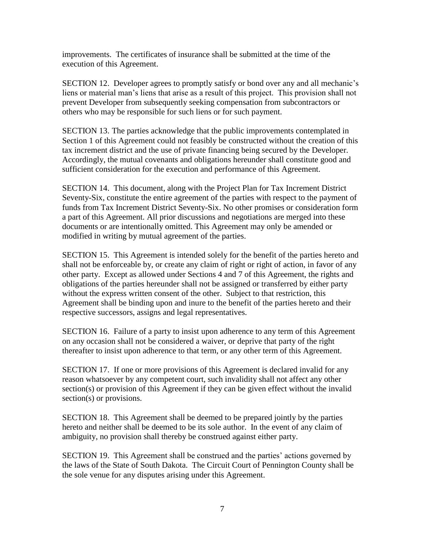improvements. The certificates of insurance shall be submitted at the time of the execution of this Agreement.

SECTION 12. Developer agrees to promptly satisfy or bond over any and all mechanic's liens or material man's liens that arise as a result of this project. This provision shall not prevent Developer from subsequently seeking compensation from subcontractors or others who may be responsible for such liens or for such payment.

SECTION 13. The parties acknowledge that the public improvements contemplated in Section 1 of this Agreement could not feasibly be constructed without the creation of this tax increment district and the use of private financing being secured by the Developer. Accordingly, the mutual covenants and obligations hereunder shall constitute good and sufficient consideration for the execution and performance of this Agreement.

SECTION 14. This document, along with the Project Plan for Tax Increment District Seventy-Six, constitute the entire agreement of the parties with respect to the payment of funds from Tax Increment District Seventy-Six. No other promises or consideration form a part of this Agreement. All prior discussions and negotiations are merged into these documents or are intentionally omitted. This Agreement may only be amended or modified in writing by mutual agreement of the parties.

SECTION 15. This Agreement is intended solely for the benefit of the parties hereto and shall not be enforceable by, or create any claim of right or right of action, in favor of any other party. Except as allowed under Sections 4 and 7 of this Agreement, the rights and obligations of the parties hereunder shall not be assigned or transferred by either party without the express written consent of the other. Subject to that restriction, this Agreement shall be binding upon and inure to the benefit of the parties hereto and their respective successors, assigns and legal representatives.

SECTION 16. Failure of a party to insist upon adherence to any term of this Agreement on any occasion shall not be considered a waiver, or deprive that party of the right thereafter to insist upon adherence to that term, or any other term of this Agreement.

SECTION 17. If one or more provisions of this Agreement is declared invalid for any reason whatsoever by any competent court, such invalidity shall not affect any other section(s) or provision of this Agreement if they can be given effect without the invalid section(s) or provisions.

SECTION 18. This Agreement shall be deemed to be prepared jointly by the parties hereto and neither shall be deemed to be its sole author. In the event of any claim of ambiguity, no provision shall thereby be construed against either party.

SECTION 19. This Agreement shall be construed and the parties' actions governed by the laws of the State of South Dakota. The Circuit Court of Pennington County shall be the sole venue for any disputes arising under this Agreement.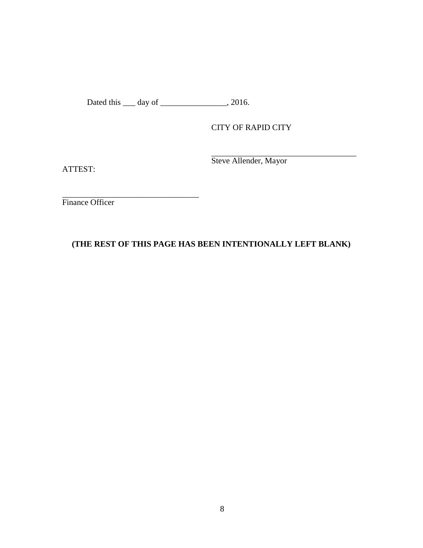Dated this <u>equal</u> day of <u>equal that all</u>, 2016.

 $\mathcal{L}_\text{max}$  , where  $\mathcal{L}_\text{max}$  and  $\mathcal{L}_\text{max}$ 

CITY OF RAPID CITY

ATTEST:

 $\overline{\phantom{a}}$  , where  $\overline{\phantom{a}}$ Steve Allender, Mayor

Finance Officer

# **(THE REST OF THIS PAGE HAS BEEN INTENTIONALLY LEFT BLANK)**